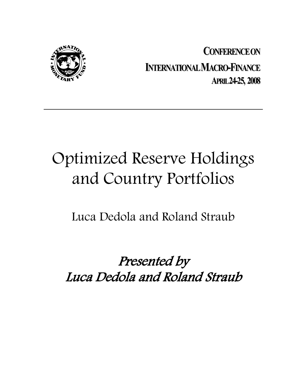

**CONFERENCEON INTERNATIONAL MACRO-FINANCE APRIL24-25, 2008**

# Optimized Reserve Holdings and Country Portfolios

Luca Dedola and Roland Straub

Presented by Luca Dedola and Roland Straub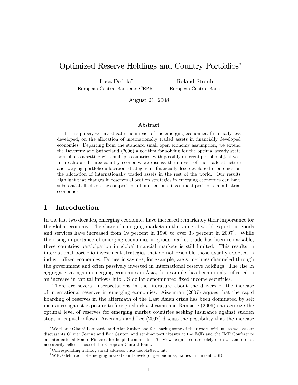# Optimized Reserve Holdings and Country Portfolios

Luca Dedola<sup>†</sup> European Central Bank and CEPR

Roland Straub European Central Bank

August 21, 2008

### Abstract

In this paper, we investigate the impact of the emerging economies, financially less developed, on the allocation of internationally traded assets in financially developed economies. Departing from the standard small open economy assumption, we extend the Devereux and Sutherland (2006) algorithm for solving for the optimal steady state portfolio to a setting with multiple countries, with possibly different potfolio objectives. In a calibrated three-country economy, we discuss the impact of the trade structure and varying portfolio allocation strategies in financially less developed economies on the allocation of internationally traded assets in the rest of the world. Our results highlight that changes in reserves allocation strategies in emerging economies can have substantial effects on the composition of international investment positions in industrial economies.

# 1 Introduction

In the last two decades, emerging economies have increased remarkably their importance for the global economy. The share of emerging markets in the value of world exports in goods and services have increased from 19 percent in 1990 to over 33 percent in  $2007<sup>1</sup>$ . While the rising importance of emerging economies in goods market trade has been remarkable, these countries participation in global Önancial markets is still limited. This results in international portfolio investment strategies that do not resemble those usually adopted in industrialized economies. Domestic savings, for example, are sometimes channeled through the government and often passively invested in international reserve holdings. The rise in aggregate savings in emerging economies in Asia, for example, has been mainly reflected in an increase in capital ináows into US dollar-denominated Öxed income securities.

There are several interpretations in the literature about the drivers of the increase of international reserves in emerging economies. Aizenman (2007) argues that the rapid hoarding of reserves in the aftermath of the East Asian crisis has been dominated by self insurance against exposure to foreign shocks. Jeanne and Ranciere (2006) characterize the optimal level of reserves for emerging market countries seeking insurance against sudden stops in capital ináows. Aizenman and Lee (2007) discuss the possibility that the increase

We thank Gianni Lombardo and Alan Sutherland for sharing some of their codes with us, as well as our discussants Olivier Jeanne and Eric Santor, and seminar participants at the ECB and the IMF Conference on International Macro-Finance, for helpful comments. The views expressed are solely our own and do not necessarily reflect those of the European Central Bank.

<sup>&</sup>lt;sup>†</sup>Corresponding author; email address: luca.dedola@ecb.int.

<sup>&</sup>lt;sup>1</sup>WEO definition of emerging markets and developing economies; values in current USD.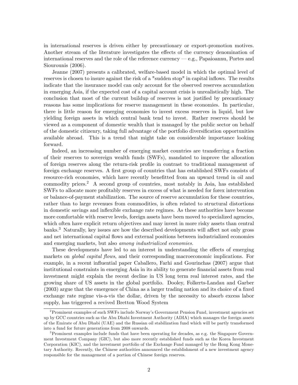in international reserves is driven either by precautionary or export-promotion motives. Another stream of the literature investigates the effects of the currency denomination of international reserves and the role of the reference currency  $-e.g.,$  Papaioannu, Portes and Siourounis (2006).

Jeanne (2007) presents a calibrated, welfare-based model in which the optimal level of reserves is chosen to insure against the risk of a "sudden stop" in capital inflows. The results indicate that the insurance model can only account for the observed reserves accumulation in emerging Asia, if the expected cost of a capital account crisis is unrealistically high. The conclusion that most of the current buildup of reserves is not justified by precautionary reasons has some implications for reserve management in these economies. In particular, there is little reason for emerging economies to invest excess reserves in liquid, but low yielding foreign assets in which central bank tend to invest. Rather reserves should be viewed as a component of domestic wealth that is managed by the public sector on behalf of the domestic citizenry, taking full advantage of the portfolio diversification opportunities available abroad. This is a trend that might take on considerable importance looking forward.

Indeed, an increasing number of emerging market countries are transferring a fraction of their reserves to sovereign wealth funds (SWFs), mandated to improve the allocation of foreign reserves along the return-risk profile in contrast to traditional management of foreign exchange reserves. A first group of countries that has established SWFs consists of resource-rich economies, which have recently benefitted from an upward trend in oil and commodity prices.<sup>2</sup> A second group of countries, most notably in Asia, has established SWFs to allocate more profitably reserves in excess of what is needed for forex intervention or balance-of-payment stabilization. The source of reserve accumulation for these countries, rather than to large revenues from commodities, is often related to structural distortions in domestic savings and inflexible exchange rate regimes. As these authorities have become more comfortable with reserve levels, foreign assets have been moved to specialized agencies, which often have explicit return objectives and may invest in more risky assets than central banks.<sup>3</sup> Naturally, key issues are how the described developments will affect not only gross and net international capital áows and external positions between industrialized economies and emerging markets, but also among industrialized economies.

These developments have led to an interest in understanding the effects of emerging markets on *global capital flows*, and their corresponding macroeconomic implications. For example, in a recent influential paper Caballero, Farhi and Gourinchas (2007) argue that institutional constraints in emerging Asia in its ability to generate financial assets from real investment might explain the recent decline in US long term real interest rates, and the growing share of US assets in the global portfolio. Dooley, Folkerts-Landau and Garber  $(2003)$  argue that the emergence of China as a larger trading nation and its choice of a fixed exchange rate regime vis-a-vis the dollar, driven by the necessity to absorb excess labor supply, has triggered a revived Bretton Wood System

<sup>&</sup>lt;sup>2</sup> Prominent examples of such SWFs include Norway's Government Pension Fund, investment agencies set up by GCC countries such as the Abu Dhabi Investment Authority (ADIA) which manages the foreign assets of the Emirate of Abu Dhabi (UAE) and the Russian oil stabilization fund which will be partly transformed into a fund for future generations from 2008 onwards.

<sup>&</sup>lt;sup>3</sup>Prominent examples include funds that have been operating for decades, as e.g. the Singapore Government Investment Company (GIC), but also more recently established funds such as the Korea Investment Corporation (KIC), and the investment portfolio of the Exchange Fund managed by the Hong Kong Monetary Authority. Recently, the Chinese authorities announced the establishment of a new investment agency responsible for the management of a portion of Chinese foreign reserves.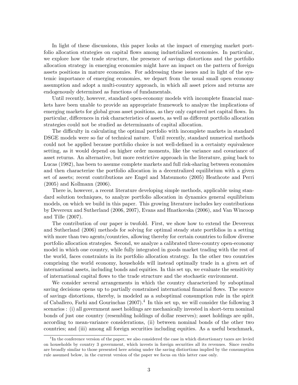In light of these discussions, this paper looks at the impact of emerging market portfolio allocation strategies on capital flows among industrialized economies. In particular, we explore how the trade structure, the presence of savings distortions and the portfolio allocation strategy in emerging economies might have an impact on the pattern of foreign assets positions in mature economies. For addressing these issues and in light of the systemic importance of emerging economies, we depart from the usual small open economy assumption and adopt a multi-country approach, in which all asset prices and returns are endogenously determined as functions of fundamentals.

Until recently, however, standard open-economy models with incomplete financial markets have been unable to provide an appropriate framework to analyze the implications of emerging markets for global gross asset positions, as they only captured net capital flows. In particular, differences in risk characteristics of assets, as well as different portfolio allocation strategies could not be studied as determinants of capital allocation.

The difficulty in calculating the optimal portfolio with incomplete markets in standard DSGE models were so far of technical nature. Until recently, standard numerical methods could not be applied because portfolio choice is not well-defined in a certainty equivalence setting, as it would depend on higher order moments, like the variance and covariance of asset returns. An alternative, but more restrictive approach in the literature, going back to Lucas (1982), has been to assume complete markets and full risk-sharing between economies and then characterize the portfolio allocation in a decentralized equilibrium with a given set of assets; recent contributions are Engel and Matsumoto (2005) Heathcote and Perri (2005) and Kollmann (2006).

There is, however, a recent literature developing simple methods, applicable using standard solution techniques, to analyze portfolio allocation in dynamics general equilibrium models, on which we build in this paper. This growing literature includes key contributions by Devereux and Sutherland (2006, 2007), Evans and Hnatkovska (2006), and Van Wincoop and Tille (2007).

The contribution of our paper is twofold. First, we show how to extend the Devereux and Sutherland (2006) methods for solving for optimal steady state portfolios in a setting with more than two agents/countries, allowing thereby for certain countries to follow diverse portfolio allocation strategies. Second, we analyze a calibrated three-country open-economy model in which one country, while fully integrated in goods market trading with the rest of the world, faces constraints in its portfolio allocation strategy. In the other two countries comprising the world economy, households will instead optimally trade in a given set of international assets, including bonds and equities. In this set up, we evaluate the sensitivity of international capital áows to the trade structure and the stochastic environment.

We consider several arrangements in which the country characterized by suboptimal saving decisions opens up to partially constrained international financial flows. The source of savings distortions, thereby, is modeled as a suboptimal consumption rule in the spirit of Caballero, Farhi and Gourinchas (2007).<sup>4</sup> In this set up, we will consider the following 3 scenarios : (i) all government asset holdings are mechanically invested in short-term nominal bonds of just one country (resembling holdings of dollar reserves); asset holdings are split, according to mean-variance considerations, (ii) between nominal bonds of the other two countries; and (iii) among all foreign securities including equities. As a useful benchmark,

<sup>&</sup>lt;sup>4</sup>In the conference version of the paper, we also considered the case in which distortionary taxes are levied on households by country 3 government, which invests in foreign securities all its revenues. Since results are broadly similar to those presented here arising under the saving distiortions implied by the consumption rule assumed below, in the current version of the paper we focus on this latter case only.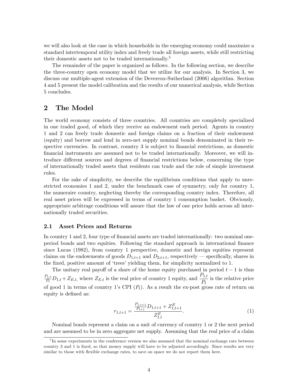we will also look at the case in which households in the emerging economy could maximize a standard intertemporal utility index and freely trade all foreign assets, while still restricting their domestic assets not to be traded internationally.<sup>5</sup>

The remainder of the paper is organized as follows. In the following section, we describe the three-country open economy model that we utilize for our analysis. In Section 3, we discuss our multiple-agent extension of the Devereux-Sutherland (2006) algorithm. Section 4 and 5 present the model calibration and the results of our numerical analysis, while Section 5 concludes.

# 2 The Model

The world economy consists of three countries. All countries are completely specialized in one traded good, of which they receive an endowment each period. Agents in country 1 and 2 can freely trade domestic and foreign claims on a fraction of their endowment (equity) and borrow and lend in zero-net supply nominal bonds denominated in their respective currencies. In contrast, country 3 is subject to financial restrictions, as domestic Önancial instruments are assumed not to be traded internationally. Moreover, we will introduce different sources and degrees of financial restrictions below, concerning the type of internationally traded assets that residents can trade and the role of simple investment rules.

For the sake of simplicity, we describe the equilibrium conditions that apply to unrestricted economies 1 and 2, under the benchmark case of symmetry, only for country 1, the numeraire country, neglecting thereby the corresponding country index. Therefore, all real asset prices will be expressed in terms of country 1 consumption basket. Obviously, appropriate arbitrage conditions will assure that the law of one price holds across all internationally traded securities.

## 2.1 Asset Prices and Returns

In country 1 and 2, four type of financial assets are traded internationally: two nominal oneperiod bonds and two equities. Following the standard approach in international Önance since Lucas (1982), from country 1 perspective, domestic and foreign equities represent claims on the endowments of goods  $D_{1,t+1}$  and  $D_{2,t+1}$ , respectively – specifically, shares in the fixed, positive amount of 'trees' yielding them, for simplicity normalized to 1.

The unitary real payoff of a share of the home equity purchased in period  $t - 1$  is thus  $P_{1,t}$  $P_{1,t}$ ,  $D_{1,t} + Z_{E,t}$ , where  $Z_{E,t}$  is the real price of country 1 equity, and  $\frac{P_{1,t}}{P_t}$  is the relative price of good 1 in terms of country 1's CPI  $(P_t)$ . As a result the ex-post gross rate of return on equity is defined as:

$$
r_{1,t+1} = \frac{\frac{P_{1,t+1}}{P_{t+1}} D_{1,t+1} + Z_{1,t+1}^E}{Z_{1,t}^E}.
$$
\n
$$
(1)
$$

Nominal bonds represent a claim on a unit of currency of country 1 or 2 the next period and are assumed to be in zero aggregate net supply. Assuming that the real price of a claim

<sup>&</sup>lt;sup>5</sup>In some experiments in the conference version we also assumed that the nominal exchange rate between country 3 and 1 is Öxed, so that money supply will have to be adjusted accordingly. Since results are very similar to those with flexible exchange rates, to save on space we do not report them here.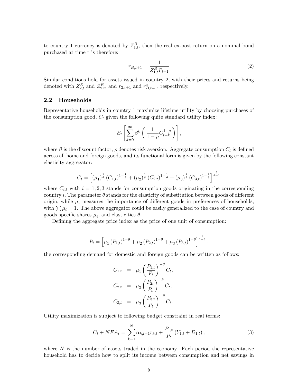to country 1 currency is denoted by  $Z_{1,t}^B$ , then the real ex-post return on a nominal bond purchased at time t is therefore:

$$
r_{B,t+1} = \frac{1}{Z_{1,t}^B P_{t+1}}\tag{2}
$$

Similar conditions hold for assets issued in country 2, with their prices and returns being denoted with  $Z_{2,t}^E$  and  $Z_{2,t}^B$ , and  $r_{2,t+1}$  and  $r_{B,t+1}^*$ , respectively.

## 2.2 Households

Representative households in country 1 maximize lifetime utility by choosing purchases of the consumption good,  $C_t$  given the following quite standard utility index:

$$
E_t\left[\sum_{k=0}^{\infty}\beta^k\left(\frac{1}{1-\rho}C_{t+k}^{1-\rho}\right)\right],
$$

where  $\beta$  is the discount factor,  $\rho$  denotes risk aversion. Aggregate consumption  $C_t$  is defined across all home and foreign goods, and its functional form is given by the following constant elasticity aggregator:

$$
C_t = \left[ (\mu_1)^{\frac{1}{\theta}} \left( C_{1,t} \right)^{1-\frac{1}{\theta}} + (\mu_2)^{\frac{1}{\theta}} \left( C_{2,t} \right)^{1-\frac{1}{\theta}} + (\mu_3)^{\frac{1}{\theta}} \left( C_{3,t} \right)^{1-\frac{1}{\theta}} \right]^{\frac{\theta}{\theta-1}}
$$

where  $C_{i,t}$  with  $i = 1, 2, 3$  stands for consumption goods originating in the corresponding country i. The parameter  $\theta$  stands for the elasticity of substitution between goods of different origin, while  $\mu_i$  measures the importance of different goods in preferences of households, with  $\sum \mu_i = 1$ . The above aggregator could be easily generalized to the case of country and goods specific shares  $\mu_i$ , and elasticities  $\theta$ .

Defining the aggregate price index as the price of one unit of consumption:

$$
P_t = \left[ \mu_1 \left( P_{1,t} \right)^{1-\theta} + \mu_2 \left( P_{2,t} \right)^{1-\theta} + \mu_3 \left( P_{3,t} \right)^{1-\theta} \right]^{\frac{1}{1-\theta}},
$$

the corresponding demand for domestic and foreign goods can be written as follows:

$$
C_{1,t} = \mu_1 \left(\frac{P_{1,t}}{P_t}\right)^{-\theta} C_t,
$$
  
\n
$$
C_{2,t} = \mu_2 \left(\frac{P_{2t}}{P_t}\right)^{-\theta} C_t,
$$
  
\n
$$
C_{3,t} = \mu_3 \left(\frac{P_{3,t}}{P_t}\right)^{-\theta} C_t.
$$

Utility maximization is subject to following budget constraint in real terms:

$$
C_t + NFA_t = \sum_{k=1}^{N} \alpha_{k,t-1} r_{k,t} + \frac{P_{1,t}}{P_t} (Y_{1,t} + D_{1,t}), \qquad (3)
$$

where  $N$  is the number of assets traded in the economy. Each period the representative household has to decide how to split its income between consumption and net savings in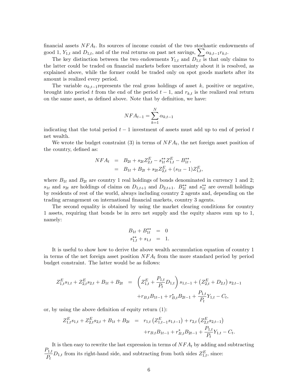financial assets  $NFA_t$ . Its sources of income consist of the two stochastic endowments of good 1,  $Y_{1,t}$  and  $D_{1,t}$ , and of the real returns on past net savings,  $\sum \alpha_{k,t-1}r_{k,t}$ .

The key distinction between the two endowments  $Y_{1,t}$  and  $D_{1,t}$  is that only claims to the latter could be traded on financial markets before uncertainty about it is resolved, as explained above, while the former could be traded only on spot goods markets after its amount is realized every period.

The variable  $\alpha_{k,t-1}$  represents the real gross holdings of asset k, positive or negative, brought into period t from the end of the period  $t-1$ , and  $r_{k,t}$  is the realized real return on the same asset, as defined above. Note that by definition, we have:

$$
NFA_{t-1} = \sum_{k=1}^{N} \alpha_{k,t-1}
$$

indicating that the total period  $t-1$  investment of assets must add up to end of period t net wealth.

We wrote the budget constraint (3) in terms of  $NFA_t$ , the net foreign asset position of the country, defined as:

$$
NFA_t = B_{2t} + s_{2t}Z_{2,t}^E - s_{1t}^{**}Z_{1,t}^E - B_{1t}^{**},
$$
  
=  $B_{1t} + B_{2t} + s_{2t}Z_{2,t}^E + (s_{1t} - 1)Z_{1,t}^E,$ 

where  $B_{1t}$  and  $B_{2t}$  are country 1 real holdings of bonds denominated in currency 1 and 2;  $s_{1t}$  and  $s_{2t}$  are holdings of claims on  $D_{1,t+1}$  and  $D_{2,t+1}$ .  $B_{1t}^{**}$  and  $s_{1t}^{**}$  are overall holdings by residents of rest of the world, always including country 2 agents and, depending on the trading arrangement on international Önancial markets, country 3 agents.

The second equality is obtained by using the market clearing conditions for country 1 assets, requiring that bonds be in zero net supply and the equity shares sum up to 1, namely:

$$
B_{1t} + B_{1t}^{**} = 0
$$
  

$$
s_{1,t}^{**} + s_{1,t} = 1.
$$

It is useful to show how to derive the above wealth accumulation equation of country 1 in terms of the net foreign asset position  $NFA_t$  from the more standard period by period budget constraint. The latter would be as follows:

$$
Z_{1,t}^{E}s_{1,t} + Z_{2,t}^{E}s_{2,t} + B_{1t} + B_{2t} = \left(Z_{1,t}^{E} + \frac{P_{1,t}}{P_{t}}D_{1,t}\right)s_{1,t-1} + \left(Z_{2,t}^{E} + D_{2,t}\right)s_{2,t-1} + r_{B,t}^{*}B_{1t-1} + r_{B,t}^{*}B_{2t-1} + \frac{P_{1,t}}{P_{t}}Y_{1,t} - C_{t},
$$

or, by using the above definition of equity return  $(1)$ :

$$
Z_{1,t}^{E}s_{1,t} + Z_{2,t}^{E}s_{2,t} + B_{1t} + B_{2t} = r_{1,t} (Z_{1,t-1}^{E}s_{1,t-1}) + r_{2,t} (Z_{2,t}^{E}s_{2,t-1}) + r_{B,t}B_{1t-1} + r_{B,t}^{*}B_{2t-1} + \frac{P_{1,t}}{P_{t}}Y_{1,t} - C_{t}.
$$

It is then easy to rewrite the last expression in terms of  $NFA_t$  by adding and subtracting  $P_{1,t}$  $\frac{P_t}{P_t}$ , from its right-hand side, and subtracting from both sides  $Z_{1,t}^E$ , since: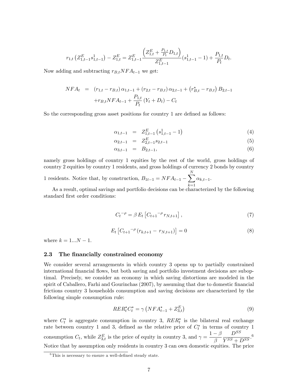$$
r_{1,t}\left(Z_{1,t-1}^{E}s_{1,t-1}^{1}\right)-Z_{1,t}^{E}=Z_{1,t-1}^{E}\frac{\left(Z_{1,t}^{E}+\frac{P_{1,t}}{P_{t}}D_{1,t}\right)}{Z_{1,t-1}^{E}}(s_{1,t-1}^{1}-1)+\frac{P_{1,t}}{P_{t}}D_{t}.
$$

Now adding and subtracting  $r_{B,t}NFA_{t-1}$  we get:

$$
NFA_t = (r_{1,t} - r_{B,t}) \alpha_{1,t-1} + (r_{2,t} - r_{B,t}) \alpha_{2,t-1} + (r_{B,t}^* - r_{B,t}) B_{2,t-1}
$$

$$
+ r_{B,t} NFA_{t-1} + \frac{P_{1,t}}{P_t} (Y_t + D_t) - C_t
$$

So the corresponding gross asset positions for country 1 are defined as follows:

$$
\alpha_{1,t-1} = Z_{1,t-1}^{E} \left( s_{1,t-1}^{1} - 1 \right) \tag{4}
$$

$$
\alpha_{2,t-1} = Z_{2,t-1}^E s_{2,t-1} \tag{5}
$$

$$
\alpha_{3,t-1} = B_{2,t-1}, \tag{6}
$$

namely gross holdings of country 1 equities by the rest of the world, gross holdings of country 2 equities by country 1 residents, and gross holdings of currency 2 bonds by country

1 residents. Notice that, by construction, 
$$
B_{1t-1} = NFA_{t-1} - \sum_{k=1}^{N} \alpha_{k,t-1}
$$
.

As a result, optimal savings and portfolio decisions can be characterized by the following standard first order conditions:

$$
C_t^{-\rho} = \beta E_t \left[ C_{t+1}^{-\rho} r_{N,t+1} \right],\tag{7}
$$

$$
E_t \left[ C_{t+1}^{-\rho} \left( r_{k,t+1} - r_{N,t+1} \right) \right] = 0 \tag{8}
$$

where  $k = 1...N - 1$ .

## 2.3 The financially constrained economy

We consider several arrangements in which country 3 opens up to partially constrained international financial flows, but both saving and portfolio investment decisions are suboptimal. Precisely, we consider an economy in which saving distortions are modeled in the spirit of Caballero, Farhi and Gourinchas (2007), by assuming that due to domestic financial frictions country 3 households consumption and saving decisions are characterized by the following simple consumption rule:

$$
RER_t^*C_t^* = \gamma \left( NFA_{t-1}^* + Z_{3,t}^E \right) \tag{9}
$$

where  $C_t^*$  is aggregate consumption in country 3,  $RER_t^*$  is the bilateral real exchange rate between country 1 and 3, defined as the relative price of  $C_t^*$  in terms of country 1 consumption  $C_t$ , while  $Z_{3,t}^E$  is the price of equity in country 3, and  $\gamma = \frac{1-\beta}{\beta}$  $\beta$  $D^{SS}$  $\frac{D}{Y^{SS}+D^{SS}}$ .<sup>6</sup> Notice that by assumption only residents in country 3 can own domestic equities. The price

 ${}^{6}$ This is necessary to ensure a well-defined steady state.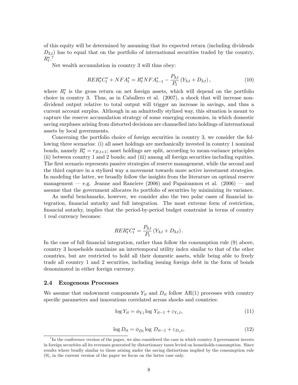of this equity will be determined by assuming that its expected return (including dividends  $D_{3,t}$ ) has to equal that on the portfolio of international securities traded by the country,  $R_t^*$ .<sup>7</sup>

Net wealth accumulation in country 3 will thus obey:

$$
RER_t^*C_t^* + NFA_t^* = R_t^*NFA_{t-1}^* - \frac{P_{3,t}}{P_t}(Y_{3,t} + D_{3,t}),
$$
\n(10)

where  $R_t^*$  is the gross return on net foreign assets, which will depend on the portfolio choice in country 3. Thus, as in Caballero et al. (2007), a shock that will increase nondividend output relative to total output will trigger an increase in savings, and thus a current account surplus. Although in an admittedly stylized way, this situation is meant to capture the reserve accumulation strategy of some emerging economies, in which domestic saving surpluses arising from distorted decisions are channelled into holdings of international assets by local governments.

Concerning the portfolio choice of foreign securities in country 3, we consider the following three scenarios: (i) all asset holdings are mechanically invested in country 1 nominal bonds, namely  $R_t^* = r_{B,t+1}$ ; asset holdings are split, according to mean-variance principles (ii) between country 1 and 2 bonds; and (iii) among all foreign securities including equities. The first scenario represents passive strategies of reserve management, while the second and the third capture in a stylized way a movement towards more active investment strategies. In modeling the latter, we broadly follow the insights from the literature on optimal reserve management – e.g. Jeanne and Ranciere (2006) and Papaioannou et al. (2006) – and assume that the government allocates its portfolio of securities by minimizing its variance.

As useful benchmarks, however, we consider also the two polar cases of financial integration, financial autarky and full integration. The most extreme form of restriction, Önancial autarky, implies that the period-by-period budget constraint in terms of country 1 real currency becomes:

$$
RER_t^*C_t^* = \frac{P_{3,t}}{P_t} (Y_{3,t} + D_{3,t}).
$$

In the case of full financial integration, rather than follow the consumption rule (9) above, country 3 households maximize an intertemporal utility index similar to that of the other countries, but are restricted to hold all their domestic assets, while being able to freely trade all country 1 and 2 securities, including issuing foreign debt in the form of bonds denominated in either foreign currency.

## 2.4 Exogenous Processes

We assume that endowment components  $Y_{it}$  and  $D_{it}$  follow AR(1) processes with country specific parameters and innovations correlated across shocks and countries:

$$
\log Y_{it} = \phi_{Yi} \log Y_{it-1} + \varepsilon_{Y_i, t},\tag{11}
$$

$$
\log D_{it} = \phi_{Di} \log D_{it-1} + \varepsilon_{D_i, t},\tag{12}
$$

<sup>&</sup>lt;sup>7</sup>In the conference version of the paper, we also considered the case in which country 3 government invests in foreign securities all its revenues generated by distortionary taxes levied on households consumption. Since results where bradly similar to those arising under the saving distiortions implied by the consumption rule (9), in the current version of the paper we focus on the latter case only.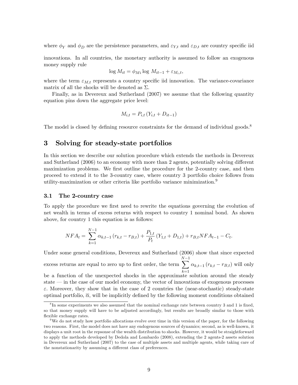where  $\phi_Y$  and  $\phi_D$  are the persistence parameters, and  $\varepsilon_{Y,t}$  and  $\varepsilon_{D,t}$  are country specific iid

innovations. In all countries, the monetary authority is assumed to follow an exogenous money supply rule

$$
\log M_{it} = \phi_{Mi} \log M_{it-1} + \varepsilon_{M_i, t},
$$

where the term  $\varepsilon_{M,t}$  represents a country specific iid innovation. The variance-covariance matrix of all the shocks will be denoted as  $\Sigma$ .

Finally, as in Devereux and Sutherland (2007) we assume that the following quantity equation pins down the aggregate price level:

$$
M_{i,t} = P_{i,t} \left( Y_{i,t} + D_{it-1} \right)
$$

The model is closed by defining resource constraints for the demand of individual goods.<sup>8</sup>

# 3 Solving for steady-state portfolios

In this section we describe our solution procedure which extends the methods in Devereux and Sutherland  $(2006)$  to an economy with more than 2 agents, potentially solving different maximization problems. We first outline the procedure for the 2-country case, and then proceed to extend it to the 3-country case, where country 3 portfolio choice follows from utility-maximization or other criteria like portfolio variance minimization.<sup>9</sup>

#### 3.1 The 2-country case

To apply the procedure we first need to rewrite the equations governing the evolution of net wealth in terms of excess returns with respect to country 1 nominal bond. As shown above, for country 1 this equation is as follows:

$$
NFA_t = \sum_{k=1}^{N-1} \alpha_{k,t-1} (r_{k,t} - r_{B,t}) + \frac{P_{1,t}}{P_t} (Y_{1,t} + D_{1,t}) + r_{B,t} NFA_{t-1} - C_t.
$$

Under some general conditions, Devereux and Sutherland (2006) show that since expected excess returns are equal to zero up to first order, the term  $\sum^{N-1}$  $_{k=1}$  $\alpha_{k,t-1}$   $(r_{k,t} - r_{B,t})$  will only

be a function of the unexpected shocks in the approximate solution around the steady state  $\overline{\phantom{a}}$  in the case of our model economy, the vector of innovations of exogenous processes  $\varepsilon$ . Moreover, they show that in the case of 2 countries the (near-stochastic) steady-state optimal portfolio,  $\bar{\alpha}$ , will be implicitly defined by the following moment conditions obtained

<sup>&</sup>lt;sup>8</sup>In some experiments we also assumed that the nominal exchange rate between country 3 and 1 is fixed, so that money supply will have to be adjusted accordingly, but results are broadly similar to those with flexible exchange rates.

<sup>&</sup>lt;sup>9</sup>We do not study how portfolio allocations evolve over time in this version of the paper, for the following two reasons. First, the model does not have any endogenous sources of dynamics; second, as is well-known, it displays a unit root in the repsonse of the wealth distribution to shocks. However, it would be straightforward to apply the methods developed by Dedola and Lombardo (2008), extending the 2 agents-2 assets solution in Devereux and Sutherland (2007) to the case of multiple assets and multiple agents, while taking care of the nonstationarity by assuming a different class of preferences.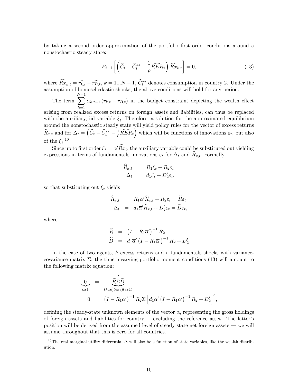by taking a second order approximation of the portfolio first order conditions around a nonstochastic steady state:

$$
E_{t-1}\left[\left(\widehat{C}_t - \widehat{C}_t^{**} - \frac{1}{\rho}\widehat{RER}_t\right)\widehat{Rx}_{k,t}\right] = 0,\tag{13}
$$

where  $Rx_{k,t} = \widehat{r_{k,t}} - \widehat{r_{B,t}}, k = 1...N - 1, C_t^{**}$  denotes consumption in country 2. Under the assumption of homoschedastic shocks, the above conditions will hold for any period.

The term  $\sum^{N-1}$  $_{k=1}$  $\alpha_{k,t-1} (r_{k,t} - r_{B,t})$  in the budget constraint depicting the wealth effect

arising from realized excess returns on foreign assets and liabilities, can thus be replaced with the auxiliary, iid variable  $\xi_t$ . Therefore, a solution for the approximated equilibrium around the nonstochastic steady state will yield policy rules for the vector of excess returns  $\widehat{R}_{x,t}$  and for  $\Delta_t = \left(\widehat{C}_t - \widehat{C}_t^{**} - \frac{1}{\rho}\right)$  $\frac{1}{\rho} \widehat{RER}_t$  which will be functions of innovations  $\varepsilon_t$ , but also of the  $\xi_t$ <sup>10</sup>

Since up to first order  $\xi_t = \overline{\alpha}' R x_t$ , the auxiliary variable could be substituted out yielding expressions in terms of fundamentals innovations  $\varepsilon_t$  for  $\Delta_t$  and  $\overline{R}_{x,t}$ . Formally,

$$
\begin{array}{rcl}\nR_{x,t} & = & R_1 \xi_t + R_2 \varepsilon_t \\
\Delta_t & = & d_1 \xi_t + D_2' \varepsilon_t,\n\end{array}
$$

so that substituting out  $\xi_t$  yields

$$
\widehat{R}_{x,t} = R_1 \overline{\alpha}' \widehat{R}_{x,t} + R_2 \varepsilon_t = \widetilde{R} \varepsilon_t \Delta_t = d_1 \overline{\alpha}' \widehat{R}_{x,t} + D'_2 \varepsilon_t = \widetilde{D} \varepsilon_t,
$$

where:

$$
\widetilde{R} = (I - R_1 \overline{\alpha}')^{-1} R_2 \n\widetilde{D} = d_1 \overline{\alpha}' (I - R_1 \overline{\alpha}')^{-1} R_2 + D_2'
$$

In the case of two agents,  $k$  excess returns and  $e$  fundamentals shocks with variancecovariance matrix  $\Sigma$ , the time-invarying portfolio moment conditions (13) will amount to the following matrix equation:

$$
\frac{0}{kx1} = \frac{\tilde{R}\Sigma \tilde{D}}{(kxe)(exe)(ex1)}
$$
\n
$$
0 = (I - R_1 \overline{\alpha}')^{-1} R_2 \Sigma \left[ d_1 \overline{\alpha}' (I - R_1 \overline{\alpha}')^{-1} R_2 + D_2' \right]',
$$

defining the steady-state unknown elements of the vector  $\bar{\alpha}$ , representing the gross holdings of foreign assets and liabilities for country 1, excluding the reference asset. The latterís position will be derived from the assumed level of steady state net foreign assets  $\sim$  we will assume throughout that this is zero for all countries.

<sup>&</sup>lt;sup>10</sup>The real marginal utility differential  $\Delta$  will also be a function of state variables, like the wealth distribution.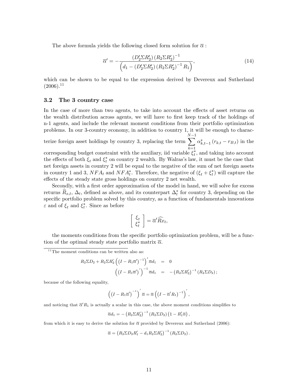The above formula yields the following closed form solution for  $\bar{\alpha}$ :

$$
\overline{\alpha}' = -\frac{(D_2' \Sigma R_2') (R_2 \Sigma R_2')^{-1}}{\left(d_1 - (D_2' \Sigma R_2') (R_2 \Sigma R_2')^{-1} R_1\right)},\tag{14}
$$

which can be shown to be equal to the expression derived by Devereux and Sutherland  $(2006).$ <sup>11</sup>

## 3.2 The 3 country case

In the case of more than two agents, to take into account the effects of asset returns on the wealth distribution across agents, we will have to first keep track of the holdings of n-1 agents, and include the relevant moment conditions from their portfolio optimization problems. In our 3-country economy, in addition to country 1, it will be enough to characterize foreign asset holdings by country 3, replacing the term  $\sum^{N-1}$  $k=1$  $\alpha_{k,t-1}^{*} (r_{k,t} - r_{B,t})$  in the corresponding budget constraint with the auxiliary, iid variable  $\xi_t^*$ , and taking into account the effects of both  $\xi_t$  and  $\xi_t^*$  on country 2 wealth. By Walras's law, it must be the case that net foreign assets in country 2 will be equal to the negative of the sum of net foreign assets in country 1 and 3,  $NFA_t$  and  $NFA_t^*$ . Therefore, the negative of  $(\xi_t + \xi_t^*)$  will capture the effects of the steady state gross holdings on country 2 net wealth.

Secondly, with a first order approximation of the model in hand, we will solve for excess returns  $R_{x,t}$ ,  $\Delta_t$ , defined as above, and its counterpart  $\Delta_t^*$  for country 3, depending on the specific portfolio problem solved by this country, as a function of fundamentals innovations  $\varepsilon$  and of  $\xi_t$  and  $\xi_t^*$ . Since as before

$$
\left[\begin{array}{c} \xi_t \\ \xi_t^* \end{array}\right] = \overline{\alpha}' \widehat{Rx}_t,
$$

the moments conditions from the specific portfolio optimization problem, will be a function of the optimal steady state portfolio matrix  $\bar{\alpha}$ .

$$
R_2 \Sigma D_2 + R_2 \Sigma R'_2 \left( (I - R_1 \overline{\alpha}')^{-1} \right)' \overline{\alpha} d_1 = 0
$$
  

$$
\left( (I - R_1 \overline{\alpha}')' \right)^{-1} \overline{\alpha} d_1 = -(R_2 \Sigma R'_2)^{-1} (R_2 \Sigma D_2);
$$

because of the following equality,

$$
\left(\left(I - R_1 \overline{\alpha}'\right)^{-1}\right)' \overline{\alpha} = \overline{\alpha} \left(\left(I - \overline{\alpha}' R_1\right)^{-1}\right)',
$$

and noticing that  $\overline{\alpha}'R_1$  is actually a scalar in this case, the above moment conditions simplifies to

$$
\overline{\alpha}d_1 = -\left(R_2 \Sigma R_2'\right)^{-1} \left(R_2 \Sigma D_2\right) \left(1 - R_1' \overline{\alpha}\right),
$$

from which it is easy to derive the solution for  $\bar{\alpha}$  provided by Devereux and Sutherland (2006):

$$
\overline{\alpha} = (R_2 \Sigma D_2 R_1' - d_1 R_2 \Sigma R_2')^{-1} (R_2 \Sigma D_2).
$$

 $11$ The moment conditions can be written also as: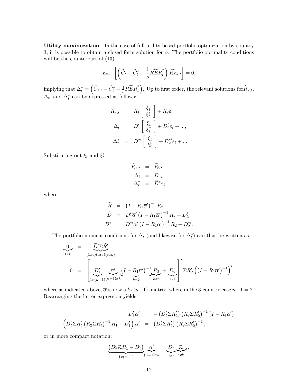Utility maximization In the case of full utility based portfolio optimization by country 3, it is possible to obtain a closed form solution for  $\overline{\alpha}$ . The portfolio optimality conditions will be the counterpart of  $(13)$ 

$$
E_{t-1}\left[\left(\widehat{C}_t-\widehat{C}_t^*-\frac{1}{\rho}\widehat{RER}_t^*\right)\widehat{Rx}_{k,t}\right]=0,
$$

implying that  $\Delta_t^* = \left(\widehat{C}_{1,t} - \widehat{C}_t^* - \frac{1}{\rho}\right)$  $\frac{1}{\rho} \widehat{RER}^*_t$ ). Up to first order, the relevant solutions for  $\widehat{R}_{x,t}$ ,  $\Delta_t$ , and  $\Delta_t^*$  can be expressed as follows:

$$
\widehat{R}_{x,t} = R_1 \begin{bmatrix} \xi_t \\ \xi_t^* \end{bmatrix} + R_2 \varepsilon_t
$$

$$
\Delta_t = D'_1 \begin{bmatrix} \xi_t \\ \xi_t^* \end{bmatrix} + D'_2 \varepsilon_t + ...,
$$

$$
\Delta_t^* = D_1^{*\prime} \begin{bmatrix} \xi_t \\ \xi_t^* \end{bmatrix} + D_2^{*\prime} \varepsilon_t + ...
$$

Substituting out  $\xi_t$  and  $\xi_t^*$ :

$$
\begin{array}{rcl} \widehat{R}_{x,t} & = & \widetilde{R}\varepsilon_{t} \\ \Delta_{t} & = & \widetilde{D}\varepsilon_{t} \\ \Delta_{t}^{*} & = & \widetilde{D}^{*}\varepsilon_{t}, \end{array}
$$

where:

$$
\widetilde{R} = (I - R_1 \overline{\alpha}')^{-1} R_2
$$
\n
$$
\widetilde{D} = D'_1 \overline{\alpha}' (I - R_1 \overline{\alpha}')^{-1} R_2 + D'_2
$$
\n
$$
\widetilde{D}^* = D_1^{*\prime} \overline{\alpha}' (I - R_1 \overline{\alpha}')^{-1} R_2 + D_2^{*\prime}.
$$

The portfolio moment conditions for  $\Delta_t$  (and likewise for  $\Delta_t^*$ ) can thus be written as

$$
\frac{0}{1xk} = \frac{\widetilde{D}'\Sigma \widetilde{R}'}{(1xe)(exe)(exk)}
$$
\n
$$
0 = \left[\frac{D'_1}{1x(n-1)(n-1)xk} \frac{\overline{\alpha}'}{kxk} \frac{(I - R_1 \overline{\alpha}')^{-1} R_2}{kxk} + \frac{D'_2}{1xe} \right]' \Sigma R'_2 \left((I - R_1 \overline{\alpha}')^{-1}\right)',
$$

where as indicated above,  $\bar{\alpha}$  is now a  $kx(n-1)$ , matrix, where in the 3-country case  $n-1 = 2$ . Rearranging the latter expression yields:

$$
D_1' \overline{\alpha}' = -(D_2' \Sigma R_2') (R_2 \Sigma R_2')^{-1} (I - R_1 \overline{\alpha}')
$$
  

$$
(D_2' \Sigma R_2' (R_2 \Sigma R_2')^{-1} R_1 - D_1') \overline{\alpha}' = (D_2' \Sigma R_2') (R_2 \Sigma R_2')^{-1},
$$

or in more compact notation:

$$
\underbrace{(D'_2 \mathcal{R} R_1 - D'_1)}_{1x(n-1)} \underbrace{\overline{\alpha}'}_{(n-1)xk} = \underbrace{D'_2}_{1xe} \underbrace{\mathcal{R}}_{exk},
$$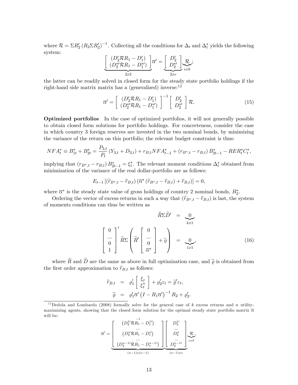where  $\mathcal{R} = \Sigma R_2' (R_2 \Sigma R_2')^{-1}$ . Collecting all the conditions for  $\Delta_t$  and  $\Delta_t^*$  yields the following system:

$$
\underbrace{\left[\begin{array}{c} (D_2' \mathcal{R} R_1 - D_1') \\ (D_2^* \mathcal{R} R_1 - D_1^*) \end{array}\right]}_{2x2} \overline{\alpha}' = \underbrace{\left[\begin{array}{c} D_2' \\ D_2^{*'} \end{array}\right]}_{2xe} \overline{\alpha}
$$

the latter can be readily solved in closed form for the steady state portfolio holdings if the right-hand side matrix matrix has a (generalized) inverse: $^{12}$ 

$$
\overline{\alpha}' = \left[ \begin{array}{c} (D_2' \mathcal{R} R_1 - D_1') \\ (D_2^* \mathcal{R} R_1 - D_1^*) \end{array} \right]^{-1} \left[ \begin{array}{c} D_2' \\ D_2^{*'} \end{array} \right] \mathcal{R}.
$$
 (15)

Optimized portfolios In the case of optimized portfolios, it will not generally possible to obtain closed form solutions for portfolio holdings. For concreteness, consider the case in which country 3 foreign reserves are invested in the two nominal bonds, by minimizing the variance of the return on this portfolio; the relevant budget constraint is thus:

$$
NFA_t^* \equiv B_{1t}^* + B_{2t}^* = \frac{P_{3,t}}{P_t} \left( Y_{3,t} + D_{3,t} \right) + r_{B,t} NFA_{t-1}^* + \left( r_{B^*,t} - r_{B,t} \right) B_{2t-1}^* - RER_t^*C_t^*,
$$

implying that  $(r_{B^*,t} - r_{B,t}) B^*_{2t-1} = \xi^*_t$ . The relevant moment conditions  $\Delta^*_t$  obtained from minimization of the variance of the real dollar-portfolio are as follows:

$$
E_{t-1} [(\hat{r}_{B^*,t} - \hat{r}_{B,t}) (\overline{\alpha}^* (\hat{r}_{B^*,t} - \hat{r}_{B,t}) + \hat{r}_{B,t})] = 0,
$$

where  $\overline{\alpha}^*$  is the steady state value of gross holdings of country 2 nominal bonds,  $B_2^*$ .

Ordering the vector of excess returns in such a way that  $(\hat{r}_{B^*,t} - \hat{r}_{B,t})$  is last, the system of moments conditions can thus be written as

$$
\widetilde{R}\Sigma \widetilde{D}' = \underbrace{0}_{kx1}
$$
\n
$$
\begin{bmatrix} 0 \\ \cdots \\ 0 \\ 1 \end{bmatrix}' \widetilde{R}\Sigma \left(\widetilde{R}' \begin{bmatrix} 0 \\ \cdots \\ 0 \\ \overline{\alpha^*} \end{bmatrix} + \widetilde{\varrho} \right) = \underbrace{0}_{1x1},
$$
\n(16)

where  $\widetilde{R}$  and  $\widetilde{D}$  are the same as above in full optimization case, and  $\widetilde{\varrho}$  is obtained from the first order approximation to  $\hat{r}_{B,t}$  as follows:

$$
\widehat{r}_{B,t} = \varrho_1' \left[ \begin{array}{c} \xi_t \\ \xi_t^* \end{array} \right] + \varrho_2' \varepsilon_t = \widetilde{\varrho}' \varepsilon_t,
$$
  

$$
\widetilde{\varrho} = \varrho_1' \overline{\alpha}' \left( I - R_1 \overline{\alpha}' \right)^{-1} R_2 + \varrho_2'.
$$

$$
\overline{\alpha}' = \underbrace{\begin{bmatrix} (D_2^{1}R R_1 - D_1^{1}) & & D_2^{1} \\ \cdots & & D_2^{1} \\ (D_2^{i}R R_1 - D_1^{i}) & & D_2^{i} \\ \cdots & \cdots & \cdots \\ (D_2^{n-1}R R_1 - D_1^{n-1}) & & D_2^{n-1} \\ \cdots & \cdots & \cdots \\ (n-1)x(n-1) & & (n-1)xe \end{bmatrix}}_{(n-1)xe} \overline{\mathcal{R}}.
$$

<sup>&</sup>lt;sup>12</sup>Dedola and Lombardo (2008) formally solve for the general case of k excess returns and n utilitymaximizing agents, showing that the closed form solution for the optimal steady state portfolio matrix  $\overline{\alpha}$ will be: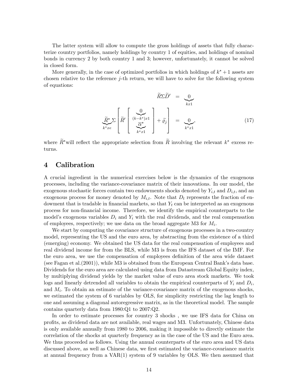The latter system will allow to compute the gross holdings of assets that fully characterize country portfolios, namely holdings by country 1 of equities, and holdings of nominal bonds in currency 2 by both country 1 and 3; however, unfortunately, it cannot be solved in closed form.

More generally, in the case of optimized portfolios in which holdings of  $k^* + 1$  assets are chosen relative to the reference j-th return, we will have to solve for the following system of equations:

$$
\widetilde{R}\Sigma \widetilde{D}' = \underbrace{0}_{kx1}
$$
\n
$$
\widetilde{R}^* \Sigma \left[ \widetilde{R}' \begin{bmatrix} 0 \\ \frac{\widetilde{C}^*}{\widetilde{C}^*} \\ \frac{\widetilde{C}^*}{\widetilde{C}^*} \end{bmatrix} + \widetilde{\varrho}_j \right] = \underbrace{0}_{k^*x1},
$$
\n(17)

where  $R^*$  will reflect the appropriate selection from R involving the relevant  $k^*$  excess returns.

# 4 Calibration

A crucial ingredient in the numerical exercises below is the dynamics of the exogenous processes, including the variance-covariance matrix of their innovations. In our model, the exogenous stochastic forces contain two endowments shocks denoted by  $Y_{i,t}$  and  $D_{i,t}$ , and an exogenous process for money denoted by  $M_{i,t}$ . Note that  $D_t$  represents the fraction of endowment that is tradable in financial markets, so that  $Y_t$  can be interpreted as an exogenous process for non-Önancial income. Therefore, we identify the empirical counterparts to the model's exogenous variables  $D_i$  and  $Y_i$  with the real dividends, and the real compensation of employees, respectively; we use data on the broad aggregate M3 for  $M_i$ .

We start by computing the covariance structure of exogenous processes in a two-country model, representing the US and the euro area, by abstracting from the existence of a third (emerging) economy. We obtained the US data for the real compensation of employees and real dividend income for from the BLS, while M3 is from the IFS dataset of the IMF. For the euro area, we use the compensation of employees definition of the area wide dataset (see Fagan et al.  $(2001)$ ), while M3 is obtained from the European Central Bank's data base. Dividends for the euro area are calculated using data from Datastream Global Equity index, by multiplying dividend yields by the market value of euro area stock markets. We took logs and linearly detrended all variables to obtain the empirical counterparts of  $Y_i$  and  $D_i$ , and  $M_i$ . To obtain an estimate of the variance-covariance matrix of the exogenous shocks, we estimated the system of 6 variables by OLS, for simplicity restricting the lag length to one and assuming a diagonal autoregressive matrix, as in the theoretical model. The sample contains quarterly data from 1980:Q1 to 2007:Q2.

In order to estimate processes for country 3 shocks , we use IFS data for China on profits, as dividend data are not available, real wages and M3. Unfortunately, Chinese data is only available annually from 1980 to 2006, making it impossible to directly estimate the correlation of the shocks at quarterly frequency as in the case of the US and the Euro area. We thus proceeded as follows. Using the annual counterparts of the euro area and US data discussed above, as well as Chinese data, we first estimated the variance-covariance matrix at annual frequency from a VAR(1) system of 9 variables by OLS. We then assumed that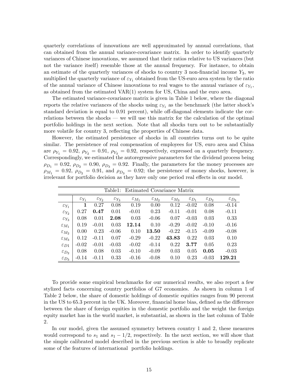quarterly correlations of innovations are well approximated by annual correlations, that can obtained from the annual variance-covariance matrix. In order to identify quarterly variances of Chinese innovations, we assumed that their ratios relative to US variances (but not the variance itself) resemble those at the annual frequency. For instance, to obtain an estimate of the quarterly variances of shocks to country 3 non-financial income  $Y_3$ , we multiplied the quarterly variance of  $\varepsilon_{Y_1}$  obtained from the US-euro area system by the ratio of the annual variance of Chinese innovations to real wages to the annual variance of  $\varepsilon_{Y_1}$ , as obtained from the estimated VAR(1) system for US, China and the euro area.

The estimated variance-covariance matrix is given in Table 1 below, where the diagonal reports the relative variances of the shocks using  $\varepsilon_{Y_1}$  as the benchmark (the latter shock's standard deviation is equal to 0.91 percent), while off-diagonal elements indicate the correlations between the shocks  $\sim$  we will use this matrix for the calculation of the optimal portfolio holdings in the next section. Note that all shocks turn out to be substantially more volatile for country 3, reflecting the properties of Chinese data.

However, the estimated persistence of shocks in all countries turns out to be quite similar. The persistence of real compensation of employees for US, euro area and China are  $\rho_{Y_1} = 0.92$ ,  $\rho_{Y_2} = 0.91$ ,  $\rho_{Y_3} = 0.92$ , respectively, expressed on a quarterly frequency. Correspondingly, we estimated the autoregressive parameters for the dividend process being  $\rho_{D_1} = 0.92, \ \rho_{D_2} = 0.90, \ \rho_{D_3} = 0.92.$  Finally, the parameters for the money processes are  $\rho_{M_1} = 0.92, \ \rho_{D_2} = 0.91, \text{ and } \rho_{D_3} = 0.92$ ; the persistence of money shocks, however, is irrelevant for portfolio decision as they have only one period real effects in our model.

|                     |                     |                     | Table1:             | Estimated Covariance Matrix |                     |                     |                     |                     |                     |
|---------------------|---------------------|---------------------|---------------------|-----------------------------|---------------------|---------------------|---------------------|---------------------|---------------------|
|                     | $\varepsilon_{Y_1}$ | $\varepsilon_{Y_2}$ | $\varepsilon_{Y_3}$ | $\varepsilon_{M_1}$         | $\varepsilon_{M_2}$ | $\varepsilon_{M_3}$ | $\varepsilon_{D_1}$ | $\varepsilon_{D_2}$ | $\varepsilon_{D_3}$ |
| $\varepsilon_{Y_1}$ | 1                   | 0.27                | 0.08                | 0.19                        | 0.00                | 0.12                | $-0.02$             | 0.08                | $-0.14$             |
| $\varepsilon_{Y_2}$ | 0.27                | 0.47                | 0.01                | $-0.01$                     | 0.23                | $-0.11$             | $-0.01$             | 0.08                | $-0.11$             |
| $\varepsilon_{Y_3}$ | 0.08                | 0.01                | 2.08                | 0.03                        | $-0.06$             | 0.07                | $-0.03$             | 0.03                | 0.33                |
| $\varepsilon_{M_1}$ | 0.19                | $-0.01$             | 0.03                | 12.14                       | 0.10                | $-0.29$             | $-0.02$             | $-0.10$             | $-0.16$             |
| $\varepsilon_{M_2}$ | 0.00                | 0.23                | $-0.06$             | 0.10                        | 13.50               | $-0.22$             | $-0.15$             | $-0.09$             | $-0.08$             |
| $\varepsilon_{M_3}$ | 0.12                | $-0.11$             | 0.07                | $-0.29$                     | $-0.22$             | 43.83               | 0.22                | 0.03                | 0.10                |
| $\epsilon_{D1}$     | $-0.02$             | $-0.01$             | $-0.03$             | $-0.02$                     | $-0.14$             | 0.22                | 3.77                | 0.05                | 0.23                |
| $\varepsilon_{D_2}$ | 0.08                | 0.08                | 0.03                | $-0.10$                     | $-0.09$             | 0.03                | 0.05                | 0.05                | $-0.03$             |
| $\varepsilon_{D_3}$ | $-0.14$             | $-0.11$             | 0.33                | $-0.16$                     | $-0.08$             | 0.10                | 0.23                | $-0.03$             | 129.21              |

To provide some empirical benchmarks for our numerical results, we also report a few stylized facts concerning country portfolios of G7 economies. As shown in column 1 of Table 2 below, the share of domestic holdings of domestic equities ranges from 90 percent in the US to 65.3 percent in the UK. Moreover, financial home bias, defined as the difference between the share of foreign equities in the domestic portfolio and the weight the foreign equity market has in the world market, is substantial, as shown in the last column of Table 2.

In our model, given the assumed symmetry between country 1 and 2, these measures would correspond to  $s_1$  and  $s_1-1/2$ , respectively. In the next section, we will show that the simple calibrated model described in the previous section is able to broadly replicate some of the features of international portfolio holdings.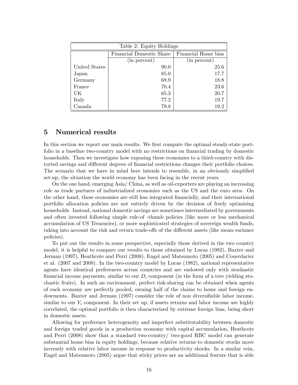| Table 2: Equity Holdings |                                 |                     |  |  |  |  |
|--------------------------|---------------------------------|---------------------|--|--|--|--|
|                          | <b>Financial Domestic Share</b> | Financial Home bias |  |  |  |  |
|                          | (in percent)                    | (in percent)        |  |  |  |  |
| United States            | 90.0                            | 25.6                |  |  |  |  |
| Japan                    | 85.0                            | 17.7                |  |  |  |  |
| Germany                  | 68.9                            | 18.8                |  |  |  |  |
| France                   | 70.4                            | 23.6                |  |  |  |  |
| UK                       | 65.3                            | 20.7                |  |  |  |  |
| Italy                    | 77.2                            | 19.7                |  |  |  |  |
| Canada                   | 79.8                            | 19.2                |  |  |  |  |

# 5 Numerical results

In this section we report our main results. We first compute the optimal steady-state portfolio in a baseline two-country model with no restrictions on financial trading by domestic households. Then we investigate how exposing these economies to a third-country with distorted savings and different degrees of financial restrictions changes their portfolio choices. The scenario that we have in mind here intends to resemble, in an obviously simplified set-up, the situation the world economy has been facing in the recent years.

On the one hand, emerging Asia/ China, as well as oil-exporters are playing an increasing role as trade partners of industrialized economies such as the US and the euro area. On the other hand, these economies are still less integrated Önancially, and their international portfolio allocation policies are not entirely driven by the decision of freely optimizing households. Instead, national domestic savings are sometimes intermediated by governments and often invested following simple rule-of -thumb policies (like more or less mechanical accumulation of US Treasuries), or more sophisticated strategies of sovereign wealth funds, taking into account the risk and return trade-offs of the different assets (like mean-variance policies).

To put our the results in some perspective, especially those derived in the two country model, it is helpful to compare our results to those obtained by Lucas (1982), Baxter and Jerman (1997), Heathcote and Perri (2008), Engel and Matsumoto (2005) and Couerdacier et al. (2007 and 2008). In the two-country model by Lucas (1982), national representative agents have identical preferences across countries and are endowed only with stochastic financial income payments, similar to our  $D_i$  component (in the form of a tree yielding stochastic fruits). In such an environment, perfect risk-sharing can be obtained when agents of each economy are perfectly pooled, owning half of the claims to home and foreign endowments. Baxter and Jerman (1997) consider the role of non diversifiable labor income, similar to our  $Y_i$  component. In their set up, if assets returns and labor income are highly correlated, the optimal portfolio is then characterized by extreme foreign bias, being short in domestic assets.

Allowing for preference heterogeneity and imperfect substitutability between domestic and foreign traded goods in a production economy with capital accumulation, Heathcote and Perri (2008) show that a standard two-country/ two-good RBC model can generate substantial home bias in equity holdings, because relative returns to domestic stocks move inversely with relative labor income in response to productivity shocks. In a similar vein, Engel and Matsumoto (2005) argue that sticky prices are an additional feature that is able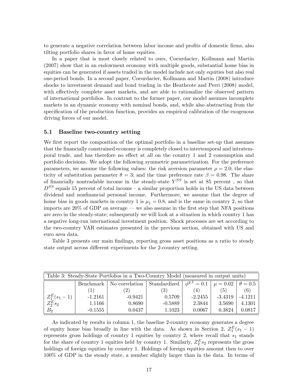to generate a negative correlation between labor income and profits of domestic firms, also tilting portfolio shares in favor of home equities.

In a paper that is most closely related to ours, Coeurdacier, Kollmann and Martin (2007) show that in an endowment economy with multiple goods, substantial home bias in equities can be generated if assets traded in the model include not only equities but also real one-period bonds. In a second paper, Coeurdacier, Kollmann and Martin (2008) introduce shocks to investment demand and bond trading in the Heathcote and Perri (2008) model, with effectively complete asset markets, and are able to rationalize the observed pattern of international portfolios. In contrast to the former paper, our model assumes incomplete markets in an dynamic economy with nominal bonds, and, while also abstracting from the specification of the production function, provides an empirical calibration of the exogenous driving forces of our model.

## 5.1 Baseline two-country setting

We first report the composition of the optimal portfolio in a baseline set-up that assumes that the financially constrained economy is completely closed to intertemporal and intratemporal trade, and has therefore no effect at all on the country 1 and 2 consumption and portfolio decisions. We adopt the following symmetric parametrization. For the preference parameters, we assume the following values: the risk aversion parameter  $\rho = 2.0$ ; the elasticity of substitution parameter  $\theta = 3$ ; and the time preference rate  $\beta = 0.98$ . The share of financially nontradable income in the steady-state  $Y^{SS}$  is set at 85 percent, so that  $D^{SS}$  equals 15 percent of total income – a similar proportion holds in the US data between dividend and nonfinancial personal income. Furthermore, we assume that the degree of home bias in goods markets in country 1 is  $\mu_1 = 0.8$ , and is the same in country 2, so that imports are  $20\%$  of GDP on average – we also assume in the first step that NFA positions are zero in the steady-state; subsequently we will look at a situation in which country 1 has a negative long-run international investment position. Shock processes are set according to the two-country VAR estimates presented in the previous section, obtained with US and euro area data.

Table 3 presents our main findings, reporting gross asset positions as a ratio to steady state output across different experiments for the 2-country setting.

| Table 3: Steady-State Portfolios in a Two-Country Model (measured in output units) |           |                |                     |                    |              |                |  |
|------------------------------------------------------------------------------------|-----------|----------------|---------------------|--------------------|--------------|----------------|--|
|                                                                                    | Benchmark | No correlation | <b>Standardized</b> | $\phi^{y,1} = 0.1$ | $\mu = 0.02$ | $\theta = 0.5$ |  |
|                                                                                    |           | (2)            | (3)                 | (4)                | (5)          | (6)            |  |
| $Z_1^E(s_1-1)$                                                                     | $-1.2161$ | $-0.9421$      | 0.5709              | $-2.2455$          | $-3.4319$    | $-4.1211$      |  |
| $Z_2^E$ s <sub>2</sub>                                                             | 1.1166    | 0.8690         | $-0.5889$           | 2.3844             | 3.5690       | 4.1301         |  |
| $B_2$                                                                              | $-0.1555$ | 0.0437         | 1.1023              | 0.0067             | 0.3824       | 0.0817         |  |

As indicated by results in column 1, the baseline 2-country economy generates a degree of equity home bias broadly in line with the data. As shown in Section 2,  $Z_1^E(s_1 - 1)$ represents gross holdings of country 1 equities by country 2, where recall that  $s_1$  stands for the share of country 1 equities held by country 1. Similarly,  $Z_2^E s_2$  represents the gross holdings of foreign equities by country 1. Holdings of foreign equities amount then to over 100% of GDP in the steady state, a number slightly larger than in the data. In terms of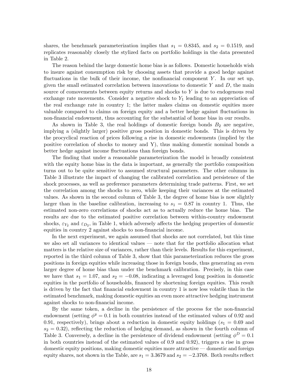shares, the benchmark parameterization implies that  $s_1 = 0.8345$ , and  $s_2 = 0.1519$ , and replicates reasonably closely the stylized facts on portfolio holdings in the data presented in Table 2.

The reason behind the large domestic home bias is as follows. Domestic households wish to insure against consumption risk by choosing assets that provide a good hedge against fluctuations in the bulk of their income, the nonfinancial component Y. In our set up, given the small estimated correlation between innovations to domestic  $Y$  and  $D$ , the main source of comovements between equity returns and shocks to  $Y$  is due to endogenous real exchange rate movements. Consider a negative shock to  $Y_1$  leading to an appreciation of the real exchange rate in country 1; the latter makes claims on domestic equities more valuable compared to claims on foreign equity and a better hedge against fluctuations in non-financial endowment, thus accounting for the substantial of home bias in our results.

As shown in Table 3, the real holdings of domestic foreign bonds  $B_2$  are negative, implying a (slightly larger) positive gross position in domestic bonds. This is driven by the procyclical reaction of prices following a rise in domestic endowments (implied by the positive correlation of shocks to money and Y), thus making domestic nominal bonds a better hedge against income fluctuations than foreign bonds.

The finding that under a reasonable parameterization the model is broadly consistent with the equity home bias in the data is important, as generally the portfolio composition turns out to be quite sensitive to assumed structural parameters. The other columns in Table 3 illustrate the impact of changing the calibrated correlation and persistence of the shock processes, as well as preference parameters determining trade patterns. First, we set the correlation among the shocks to zero, while keeping their variances at the estimated values. As shown in the second column of Table 3, the degree of home bias is now slightly larger than in the baseline calibration, increasing to  $s_1 = 0.87$  in country 1. Thus, the estimated non-zero correlations of shocks act as to actually reduce the home bias. The results are due to the estimated positive correlation between within-country endowment shocks,  $\varepsilon_{Y_2}$  and  $\varepsilon_{D_2}$ , in Table 1, which adversely affects the hedging properties of domestic equities in country 2 against shocks to non-financial income.

In the next experiment, we again assumed that shocks are not correlated, but this time we also set all variances to identical values  $\sim$  note that for the portfolio allocation what matters is the relative size of variances, rather than their levels. Results for this experiment, reported in the third column of Table 3, show that this parameterization reduces the gross positions in foreign equities while increasing those in foreign bonds, thus generating an even larger degree of home bias than under the benchmark calibration. Precisely, in this case we have that  $s_1 = 1.07$ , and  $s_2 = -0.08$ , indicating a leveraged long position in domestic equities in the portfolio of households, financed by shortening foreign equities. This result is driven by the fact that Önancial endowment in country 1 is now less volatile than in the estimated benchmark, making domestic equities an even more attractive hedging instrument against shocks to non-financial income.

By the same token, a decline in the persistence of the process for the non-Önancial endowment (setting  $\phi^y = 0.1$  in both countries instead of the estimated values of 0.92 and 0.91, respectively), brings about a reduction in domestic equity holdings ( $s_1 = 0.69$  and  $s_2 = 0.32$ , reflecting the reduction of hedging demand, as shown in the fourth column of Table 3. Conversely, a decline in the persistence of dividend endowment (setting  $\phi^D = 0.1$ in both countries instead of the estimated values of 0.9 and 0.92); triggers a rise in gross domestic equity positions, making domestic equities more attractive  $\sim$  domestic and foreign equity shares, not shown in the Table, are  $s_1 = 3.3679$  and  $s_2 = -2.3768$ . Both results reflect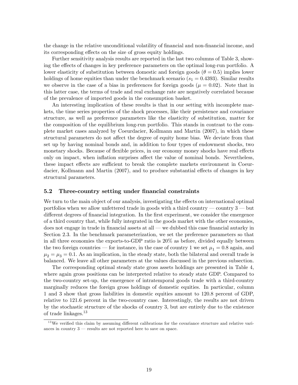the change in the relative unconditional volatility of financial and non-financial income, and its corresponding effects on the size of gross equity holdings.

Further sensitivity analysis results are reported in the last two columns of Table 3, showing the effects of changes in key preference parameters on the optimal long-run portfolio. A lower elasticity of substitution between domestic and foreign goods ( $\theta = 0.5$ ) implies lower holdings of home equities than under the benchmark scenario  $(s_1 = 0.4393)$ . Similar results we observe in the case of a bias in preferences for foreign goods ( $\mu = 0.02$ ). Note that in this latter case, the terms of trade and real exchange rate are negatively correlated because of the prevalence of imported goods in the consumption basket.

An interesting implication of these results is that in our setting with incomplete markets, the time series properties of the shock processes, like their persistence and covariance structure, as well as preference parameters like the elasticity of substitution, matter for the composition of the equilibrium long-run portfolio. This stands in contrast to the complete market cases analyzed by Coeurdacier, Kollmann and Martin (2007), in which these structural parameters do not affect the degree of equity home bias. We deviate from that set up by having nominal bonds and, in addition to four types of endowment shocks, two monetary shocks. Because of flexible prices, in our economy money shocks have real effects only on impact, when inflation surprises affect the value of nominal bonds. Nevertheless, these impact effects are sufficient to break the complete markets environment in Coeurdacier, Kollmann and Martin (2007), and to produce substantial effects of changes in key structural parameters.

## 5.2 Three-country setting under financial constraints

We turn to the main object of our analysis, investigating the effects on international optimal portfolios when we allow unfettered trade in goods with a third country  $\sim$  country 3  $\sim$  but different degrees of financial integration. In the first experiment, we consider the emergence of a third country that, while fully integrated in the goods market with the other economies, does not engage in trade in financial assets at all  $\sim$  we dubbed this case financial autarky in Section 2.3. In the benchmark parameterization, we set the preference parameters so that in all three economies the exports-to-GDP ratio is 20% as before, divided equally between the two foreign countries – for instance, in the case of country 1 we set  $\mu_1 = 0.8$  again, and  $\mu_2 = \mu_3 = 0.1$ . As an implication, in the steady state, both the bilateral and overall trade is balanced. We leave all other parameters at the values discussed in the previous subsection.

The corresponding optimal steady state gross assets holdings are presented in Table 4, where again gross positions can be interpreted relative to steady state GDP. Compared to the two-country set-up, the emergence of intratemporal goods trade with a third-country marginally reduces the foreign gross holdings of domestic equities. In particular, column 1 and 3 show that gross liabilities in domestic equities amount to 120.8 percent of GDP, relative to 121.6 percent in the two-country case. Interestingly, the results are not driven by the stochastic structure of the shocks of country 3, but are entirely due to the existence of trade linkages.<sup>13</sup>

 $13$ We verified this claim by assuming different calibrations for the covariance structure and relative variances in country  $3$  – results are not reported here to save on space.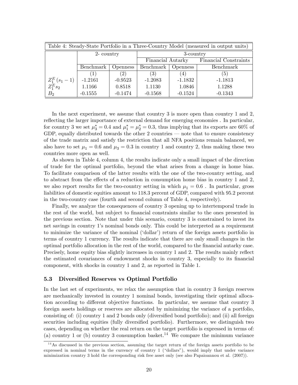| Table 4: Steady-State Portfolio in a Three-Country Model (measured in output units) |                              |           |                   |                 |                              |  |  |  |
|-------------------------------------------------------------------------------------|------------------------------|-----------|-------------------|-----------------|------------------------------|--|--|--|
|                                                                                     | 2- country                   |           | 3-country         |                 |                              |  |  |  |
|                                                                                     |                              |           | Financial Autarky |                 | <b>Financial Constraints</b> |  |  |  |
|                                                                                     | Benchmark<br><i>Openness</i> |           | Benchmark         | <i>Openness</i> | Benchmark                    |  |  |  |
|                                                                                     | (2)                          |           | (3)               | (4)             | (5)                          |  |  |  |
| $\begin{array}{l} Z_1^E\left(s_1-1\right) \\ Z_1^E s_2 \end{array}$                 | $-1.2161$                    | $-0.9523$ | $-1.2083$         | $-1.1832$       | $-1.1813$                    |  |  |  |
|                                                                                     | 1.1166                       | 0.8518    | 1.1130            | 1.0846          | 1.1288                       |  |  |  |
| B <sub>2</sub>                                                                      | $-0.1555$                    | $-0.1474$ | $-0.1568$         | $-0.1524$       | $-0.1343$                    |  |  |  |

In the next experiment, we assume that country 3 is more open than country 1 and 2, reflecting the larger importance of external demand for emerging economies. In particular, for country 3 we set  $\mu_3^* = 0.4$  and  $\mu_1^* = \mu_2^* = 0.3$ , thus implying that its exports are 60% of GDP, equally distributed towards the other  $2$  countries  $-$  note that to ensure consistency of the trade matrix and satisfy the restriction that all NFA positions remain balanced, we also have to set  $\mu_1 = 0.6$  and  $\mu_3 = 0.3$  in country 1 and country 2, thus making these two countries more open as well.

As shown in Table 4, column 4, the results indicate only a small impact of the direction of trade for the optimal portfolio, beyond the what arises from a change in home bias. To facilitate comparison of the latter results with the one of the two-country setting, and to abstract from the effects of a reduction in consumption home bias in country 1 and 2, we also report results for the two-country setting in which  $\mu_1 = 0.6$ . In particular, gross liabilities of domestic equities amount to 118.3 percent of GDP, compared with 95.2 percent in the two-country case (fourth and second column of Table 4, respectively).

Finally, we analyze the consequences of country 3 opening up to intertemporal trade in the rest of the world, but subject to financial constraints similar to the ones presented in the previous section. Note that under this scenario, country 3 is constrained to invest its net savings in country 1ís nominal bonds only. This could be interpreted as a requirement to minimize the variance of the nominal ('dollar') return of the foreign assets portfolio in terms of country 1 currency. The results indicate that there are only small changes in the optimal portfolio allocation in the rest of the world, compared to the Önancial autarky case. Precisely, home equity bias slightly increases in country 1 and 2. The results mainly reflect the estimated covariances of endowment shocks in country 3, especially to its financial component, with shocks in country 1 and 2, as reported in Table 1.

## 5.3 Diversified Reserves vs Optimal Portfolio

In the last set of experiments, we relax the assumption that in country 3 foreign reserves are mechanically invested in country 1 nominal bonds, investigating their optimal allocation according to different objective functions. In particular, we assume that country 3 foreign assets holdings or reserves are allocated by minimizing the variance of a portfolio, consisting of: (i) country 1 and 2 bonds only (diversified bond portfolio); and (ii) all foreign securities including equities (fully diversified portfolio). Furthermore, we distinguish two cases, depending on whether the real return on the target portfolio is expressed in terms of: (a) country 1 or (b) country 3 consumption basket.<sup>14</sup> We compare the minimum variance

<sup>&</sup>lt;sup>14</sup>As discussed in the previous section, assuming the target return of the foreign assets portfolio to be expressed in nominal terms in the currency of country 1 ("dollars"), would imply that under variance minimization country 3 hold the corresponding risk free asset only (see also Papaioannou et al. (2007)).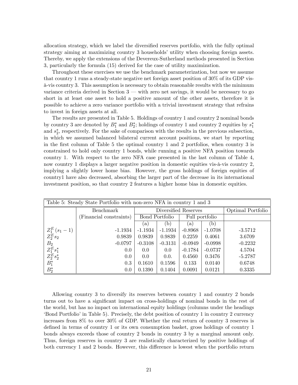allocation strategy, which we label the diversified reserves portfolio, with the fully optimal strategy aiming at maximizing country 3 households' utility when choosing foreign assets. Thereby, we apply the extensions of the Devereux-Sutherland methods presented in Section 3, particularly the formula (15) derived for the case of utility maximization.

Throughout these exercises we use the benchmark parameterization, but now we assume that country 1 runs a steady-state negative net foreign asset position of 30% of its GDP vis- ‡-vis country 3. This assumption is necessary to obtain reasonable results with the minimum variance criteria derived in Section  $3$  – with zero net savings, it would be necessary to go short in at least one asset to hold a positive amount of the other assets, therefore it is possible to achieve a zero variance portfolio with a trivial investment strategy that refrains to invest in foreign assets at all.

The results are presented in Table 5. Holdings of country 1 and country 2 nominal bonds by country 3 are denoted by  $B_1^*$  and  $B_2^*$ ; holdings of country 1 and country 2 equities by  $s_1^*$ and  $s_2^*$ , respectively. For the sake of comparison with the results in the previous subsection, in which we assumed balanced bilateral current account positions, we start by reporting in the first column of Table 5 the optimal country 1 and 2 portfolios, when country 3 is constrained to hold only country 1 bonds, while running a positive NFA position towards country 1. With respect to the zero NFA case presented in the last column of Table 4, now country 1 displays a larger negative position in domestic equities vis- $\alpha$ -vis country 2, implying a slightly lower home bias. However, the gross holdings of foreign equities of country1 have also decreased, absorbing the larger part of the decrease in its international investment position, so that country 2 features a higher home bias in domestic equities.

| Table 5: Steady State Portfolio with non-zero NFA in country 1 and 3                                         |                         |                       |                      |                   |              |           |  |
|--------------------------------------------------------------------------------------------------------------|-------------------------|-----------------------|----------------------|-------------------|--------------|-----------|--|
|                                                                                                              | <b>Benchmark</b>        |                       | Diversified Reserves | Optimal Portfolio |              |           |  |
|                                                                                                              | (Financial constraints) | <b>Bond Portfolio</b> |                      | Full portfolio    |              |           |  |
|                                                                                                              |                         | (a)                   | (b)                  | (a)               | $\mathbf{b}$ |           |  |
|                                                                                                              | $-1.1934$               | $-1.1934$             | $-1.1934$            | $-0.8968$         | $-1.0708$    | $-3.5712$ |  |
| $\begin{array}{l} Z_1^E\left(s_1-1\right)\\ Z_2^E s_2\\ B_2\\ Z_1^E s_1^*\\ Z_2^E s_2^*\\ B_1^* \end{array}$ | 0.9839                  | 0.9839                | 0.9839               | 0.2259            | 0.4061       | 3.6709    |  |
|                                                                                                              | $-0.0797$               | $-0.3108$             | $-0.3131$            | $-0.0949$         | $-0.0998$    | $-0.2232$ |  |
|                                                                                                              | 0.0                     | 0.0                   | 0.0                  | $-0.1784$         | $-0.0737$    | 4.5704    |  |
|                                                                                                              | 0.0                     | 0.0                   | 0.0.                 | 0.4560            | 0.3476       | $-5.2787$ |  |
|                                                                                                              | 0.3                     | 0.1610                | 0.1596               | 0.133             | 0.0140       | 0.6748    |  |
| $B_2^*$                                                                                                      | 0.0                     | 0.1390                | 0.1404               | 0.0091            | 0.0121       | 0.3335    |  |

Allowing country 3 to diversify its reserves between country 1 and country 2 bonds turns out to have a significant impact on cross-holdings of nominal bonds in the rest of the world, but has no impact on international equity holdings (columns under the headings 'Bond Portfolio' in Table 5). Precisely, the debt position of country 1 in country 2 currency increases from 8% to over 30% of GDP. Whether the real return of country 3 reserves is defined in terms of country 1 or its own consumption basket, gross holdings of country 1 bonds always exceeds those of country 2 bonds in country 3 by a marginal amount only. Thus, foreign reserves in country 3 are realistically characterized by positive holdings of both currency 1 and 2 bonds. However, this difference is lowest when the portfolio return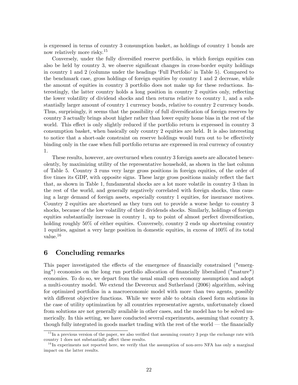is expressed in terms of country 3 consumption basket, as holdings of country 1 bonds are now relatively more risky.<sup>15</sup>

Conversely, under the fully diversified reserve portfolio, in which foreign equities can also be held by country 3, we observe significant changes in cross-border equity holdings in country 1 and 2 (columns under the headings 'Full Portfolio' in Table 5). Compared to the benchmark case, gross holdings of foreign equities by country 1 and 2 decrease, while the amount of equities in country 3 portfolio does not make up for these reductions. Interestingly, the latter country holds a long position in country 2 equities only, reflecting the lower volatility of dividend shocks and then returns relative to country 1, and a substantially larger amount of country 1 currency bonds, relative to country 2 currency bonds. Thus, surprisingly, it seems that the possibility of full diversification of foreign reserves by country 3 actually brings about higher rather than lower equity home bias in the rest of the world. This effect is only slightly reduced if the portfolio return is expressed in country 3 consumption basket, when basically only country 2 equities are held. It is also interesting to notice that a short-sale constraint on reserve holdings would turn out to be effectively binding only in the case when full portfolio returns are expressed in real currency of country 1.

These results, however, are overturned when country 3 foreign assets are allocated benevolently, by maximizing utility of the representative household, as shown in the last column of Table 5. Country 3 runs very large gross positions in foreign equities, of the order of five times its GDP, with opposite signs. These large gross positions mainly reflect the fact that, as shown in Table 1, fundamental shocks are a lot more volatile in country 3 than in the rest of the world, and generally negatively correlated with foreign shocks, thus causing a large demand of foreign assets, especially country 1 equities, for insurance motives. Country 2 equities are shortened as they turn out to provide a worse hedge to country 3 shocks, because of the low volatility of their dividends shocks. Similarly, holdings of foreign equities substantially increase in country 1, up to point of almost perfect diversification, holding roughly 50% of either equities. Conversely, country 2 ends up shortening country 1 equities, against a very large position in domestic equities, in excess of 100% of its total value.<sup>16</sup>

# 6 Concluding remarks

This paper investigated the effects of the emergence of financially constrained ("emerging") economies on the long run portfolio allocation of financially liberalized ("mature") economies. To do so, we depart from the usual small open economy assumption and adopt a multi-country model. We extend the Devereux and Sutherland (2006) algorithm, solving for optimized portfolios in a macroeconomic model with more than two agents, possibly with different objective functions. While we were able to obtain closed form solutions in the case of utility optimization by all countries representative agents, unfortunately closed from solutions are not generally available in other cases, and the model has to be solved numerically. In this setting, we have conducted several experiments, assuming that country 3, though fully integrated in goods market trading with the rest of the world  $-$  the financially

 $15$  In a previous version of the paper, we also verified that assuming country 3 pegs the exchange rate with country 1 does not substantially affect these results.

 $1<sup>6</sup>$  In experiments not reported here, we verify that the assumption of non-zero NFA has only a marginal impact on the latter results.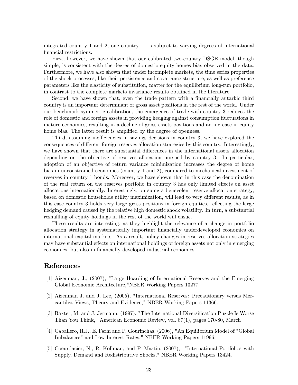integrated country 1 and 2, one country  $\overline{\phantom{a}}$  is subject to varying degrees of international financial restrictions.

First, however, we have shown that our calibrated two-country DSGE model, though simple, is consistent with the degree of domestic equity homes bias observed in the data. Furthermore, we have also shown that under incomplete markets, the time series properties of the shock processes, like their persistence and covariance structure, as well as preference parameters like the elasticity of substitution, matter for the equilibrium long-run portfolio, in contrast to the complete markets invariance results obtained in the literature.

Second, we have shown that, even the trade pattern with a financially autarkic third country is an important determinant of gross asset positions in the rest of the world. Under our benchmark symmetric calibration, the emergence of trade with country 3 reduces the role of domestic and foreign assets in providing hedging against consumption fluctuations in mature economies, resulting in a decline of gross assets positions and an increase in equity home bias. The latter result is amplified by the degree of openness.

Third, assuming inefficiencies in savings decisions in country  $3$ , we have explored the consequences of different foreign reserves allocation strategies by this country. Interestingly, we have shown that there are substantial differences in the international assets allocation depending on the objective of reserves allocation pursued by country 3. In particular, adoption of an objective of return variance minimization increases the degree of home bias in unconstrained economies (country 1 and 2), compared to mechanical investment of reserves in country 1 bonds. Moreover, we have shown that in this case the denomination of the real return on the reserves portfolio in country 3 has only limited effects on asset allocations internationally. Interestingly, pursuing a benevolent reserve allocation strategy, based on domestic households utility maximization, will lead to very different results, as in this case country 3 holds very large gross positions in foreign equities, reflecting the large hedging demand caused by the relative high domestic shock volatility. In turn, a substantial reshuffling of equity holdings in the rest of the world will ensue.

These results are interesting, as they highlight the relevance of a change in portfolio allocation strategy in systematically important Önancially underdeveloped economies on international capital markets. As a result, policy changes in reserves allocation strategies may have substantial effects on international holdings of foreign assets not only in emerging economies, but also in financially developed industrial economies.

# References

- [1] Aizenman, J., (2007), "Large Hoarding of International Reserves and the Emerging Global Economic Architecture,"NBER Working Papers 13277.
- [2] Aizenman J. and J. Lee, (2005), "International Reserves: Precautionary versus Mercantilist Views, Theory and Evidence," NBER Working Papers 11366.
- [3] Baxter, M. and J. Jermann, (1997), "The International Diversification Puzzle Is Worse Than You Think," American Economic Review, vol. 87(1), pages 170-80, March
- [4] Caballero, R.J., E. Farhi and P, Gourinchas, (2006), "An Equilibrium Model of "Global Imbalances" and Low Interest Rates," NBER Working Papers 11996.
- [5] Coeurdacier, N., R. Kollman, and P. Martin, (2007), "International Portfolios with Supply, Demand and Redistributive Shocks," NBER Working Papers 13424.